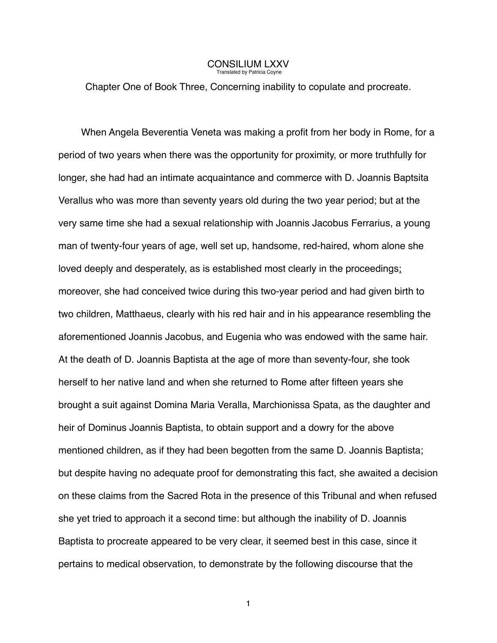## **CONSILIUM LXXV**<br>Translated by Patricia Covne

Chapter One of Book Three, Concerning inability to copulate and procreate.

When Angela Beverentia Veneta was making a profit from her body in Rome, for a period of two years when there was the opportunity for proximity, or more truthfully for longer, she had had an intimate acquaintance and commerce with D. Joannis Baptsita Verallus who was more than seventy years old during the two year period; but at the very same time she had a sexual relationship with Joannis Jacobus Ferrarius, a young man of twenty-four years of age, well set up, handsome, red-haired, whom alone she loved deeply and desperately, as is established most clearly in the proceedings; moreover, she had conceived twice during this two-year period and had given birth to two children, Matthaeus, clearly with his red hair and in his appearance resembling the aforementioned Joannis Jacobus, and Eugenia who was endowed with the same hair. At the death of D. Joannis Baptista at the age of more than seventy-four, she took herself to her native land and when she returned to Rome after fifteen years she brought a suit against Domina Maria Veralla, Marchionissa Spata, as the daughter and heir of Dominus Joannis Baptista, to obtain support and a dowry for the above mentioned children, as if they had been begotten from the same D. Joannis Baptista; but despite having no adequate proof for demonstrating this fact, she awaited a decision on these claims from the Sacred Rota in the presence of this Tribunal and when refused she yet tried to approach it a second time: but although the inability of D. Joannis Baptista to procreate appeared to be very clear, it seemed best in this case, since it pertains to medical observation, to demonstrate by the following discourse that the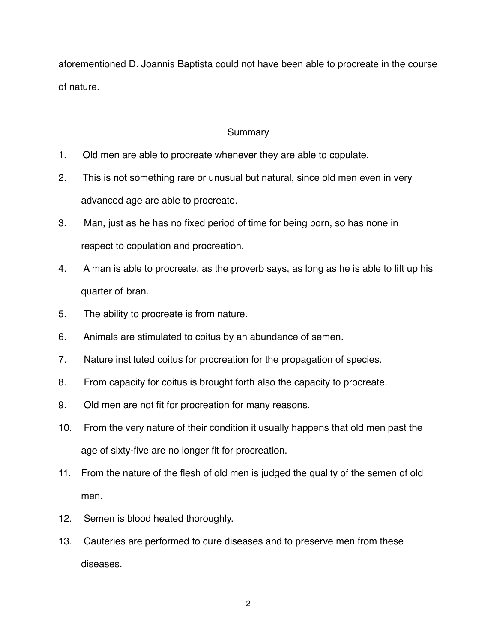aforementioned D. Joannis Baptista could not have been able to procreate in the course of nature.

## **Summary**

- 1. Old men are able to procreate whenever they are able to copulate.
- 2. This is not something rare or unusual but natural, since old men even in very advanced age are able to procreate.
- 3. Man, just as he has no fixed period of time for being born, so has none in respect to copulation and procreation.
- 4. A man is able to procreate, as the proverb says, as long as he is able to lift up his quarter of bran.
- 5. The ability to procreate is from nature.
- 6. Animals are stimulated to coitus by an abundance of semen.
- 7. Nature instituted coitus for procreation for the propagation of species.
- 8. From capacity for coitus is brought forth also the capacity to procreate.
- 9. Old men are not fit for procreation for many reasons.
- 10. From the very nature of their condition it usually happens that old men past the age of sixty-five are no longer fit for procreation.
- 11. From the nature of the flesh of old men is judged the quality of the semen of old men.
- 12. Semen is blood heated thoroughly.
- 13. Cauteries are performed to cure diseases and to preserve men from these diseases.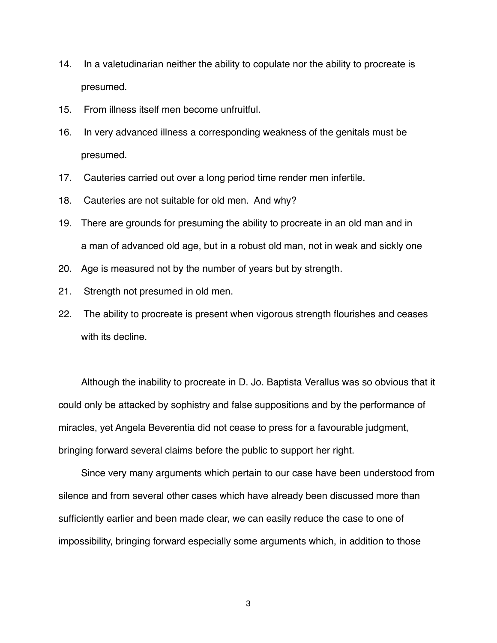- 14. In a valetudinarian neither the ability to copulate nor the ability to procreate is presumed.
- 15. From illness itself men become unfruitful.
- 16. In very advanced illness a corresponding weakness of the genitals must be presumed.
- 17. Cauteries carried out over a long period time render men infertile.
- 18. Cauteries are not suitable for old men. And why?
- 19. There are grounds for presuming the ability to procreate in an old man and in a man of advanced old age, but in a robust old man, not in weak and sickly one
- 20. Age is measured not by the number of years but by strength.
- 21. Strength not presumed in old men.
- 22. The ability to procreate is present when vigorous strength flourishes and ceases with its decline.

Although the inability to procreate in D. Jo. Baptista Verallus was so obvious that it could only be attacked by sophistry and false suppositions and by the performance of miracles, yet Angela Beverentia did not cease to press for a favourable judgment, bringing forward several claims before the public to support her right.

Since very many arguments which pertain to our case have been understood from silence and from several other cases which have already been discussed more than sufficiently earlier and been made clear, we can easily reduce the case to one of impossibility, bringing forward especially some arguments which, in addition to those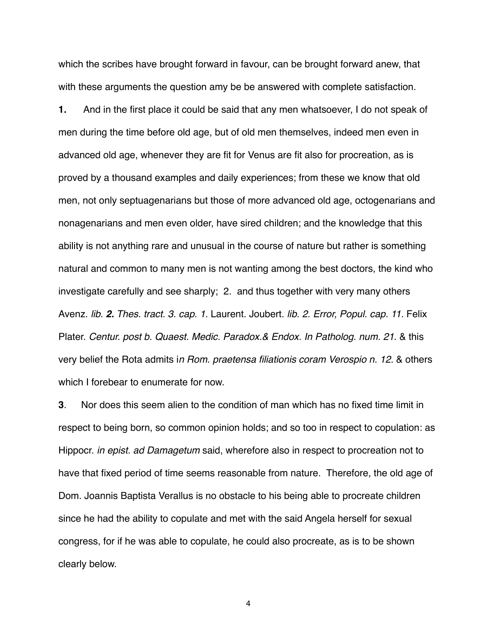which the scribes have brought forward in favour, can be brought forward anew, that with these arguments the question amy be be answered with complete satisfaction.

**1.** And in the first place it could be said that any men whatsoever, I do not speak of men during the time before old age, but of old men themselves, indeed men even in advanced old age, whenever they are fit for Venus are fit also for procreation, as is proved by a thousand examples and daily experiences; from these we know that old men, not only septuagenarians but those of more advanced old age, octogenarians and nonagenarians and men even older, have sired children; and the knowledge that this ability is not anything rare and unusual in the course of nature but rather is something natural and common to many men is not wanting among the best doctors, the kind who investigate carefully and see sharply; 2. and thus together with very many others Avenz. *lib. 2. Thes. tract. 3. cap. 1.* Laurent. Joubert. *lib. 2. Error, Popul. cap. 11.* Felix Plater. *Centur. post b. Quaest. Medic. Paradox.& Endox. In Patholog. num. 21*. & this very belief the Rota admits i*n Rom. praetensa filiationis coram Verospio n. 12*. & others which I forebear to enumerate for now.

**3**. Nor does this seem alien to the condition of man which has no fixed time limit in respect to being born, so common opinion holds; and so too in respect to copulation: as Hippocr. *in epist. ad Damagetum* said, wherefore also in respect to procreation not to have that fixed period of time seems reasonable from nature. Therefore, the old age of Dom. Joannis Baptista Verallus is no obstacle to his being able to procreate children since he had the ability to copulate and met with the said Angela herself for sexual congress, for if he was able to copulate, he could also procreate, as is to be shown clearly below.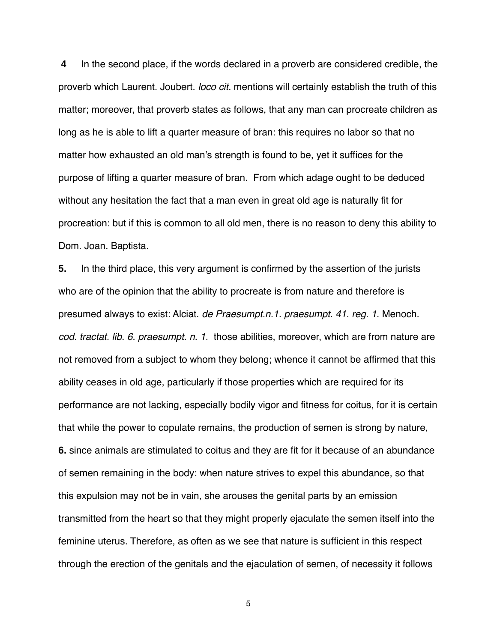**4** In the second place, if the words declared in a proverb are considered credible, the proverb which Laurent. Joubert. *loco cit.* mentions will certainly establish the truth of this matter; moreover, that proverb states as follows, that any man can procreate children as long as he is able to lift a quarter measure of bran: this requires no labor so that no matter how exhausted an old man's strength is found to be, yet it suffices for the purpose of lifting a quarter measure of bran. From which adage ought to be deduced without any hesitation the fact that a man even in great old age is naturally fit for procreation: but if this is common to all old men, there is no reason to deny this ability to Dom. Joan. Baptista.

**5.** In the third place, this very argument is confirmed by the assertion of the jurists who are of the opinion that the ability to procreate is from nature and therefore is presumed always to exist: Alciat. *de Praesumpt.n.1. praesumpt. 41. reg. 1*. Menoch. *cod. tractat. lib. 6. praesumpt. n. 1*. those abilities, moreover, which are from nature are not removed from a subject to whom they belong; whence it cannot be affirmed that this ability ceases in old age, particularly if those properties which are required for its performance are not lacking, especially bodily vigor and fitness for coitus, for it is certain that while the power to copulate remains, the production of semen is strong by nature, **6.** since animals are stimulated to coitus and they are fit for it because of an abundance of semen remaining in the body: when nature strives to expel this abundance, so that this expulsion may not be in vain, she arouses the genital parts by an emission transmitted from the heart so that they might properly ejaculate the semen itself into the feminine uterus. Therefore, as often as we see that nature is sufficient in this respect through the erection of the genitals and the ejaculation of semen, of necessity it follows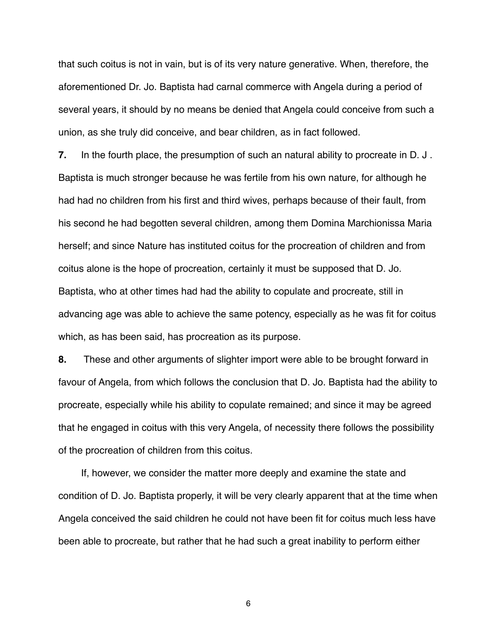that such coitus is not in vain, but is of its very nature generative. When, therefore, the aforementioned Dr. Jo. Baptista had carnal commerce with Angela during a period of several years, it should by no means be denied that Angela could conceive from such a union, as she truly did conceive, and bear children, as in fact followed.

**7.** In the fourth place, the presumption of such an natural ability to procreate in D. J . Baptista is much stronger because he was fertile from his own nature, for although he had had no children from his first and third wives, perhaps because of their fault, from his second he had begotten several children, among them Domina Marchionissa Maria herself; and since Nature has instituted coitus for the procreation of children and from coitus alone is the hope of procreation, certainly it must be supposed that D. Jo. Baptista, who at other times had had the ability to copulate and procreate, still in advancing age was able to achieve the same potency, especially as he was fit for coitus which, as has been said, has procreation as its purpose.

**8.** These and other arguments of slighter import were able to be brought forward in favour of Angela, from which follows the conclusion that D. Jo. Baptista had the ability to procreate, especially while his ability to copulate remained; and since it may be agreed that he engaged in coitus with this very Angela, of necessity there follows the possibility of the procreation of children from this coitus.

If, however, we consider the matter more deeply and examine the state and condition of D. Jo. Baptista properly, it will be very clearly apparent that at the time when Angela conceived the said children he could not have been fit for coitus much less have been able to procreate, but rather that he had such a great inability to perform either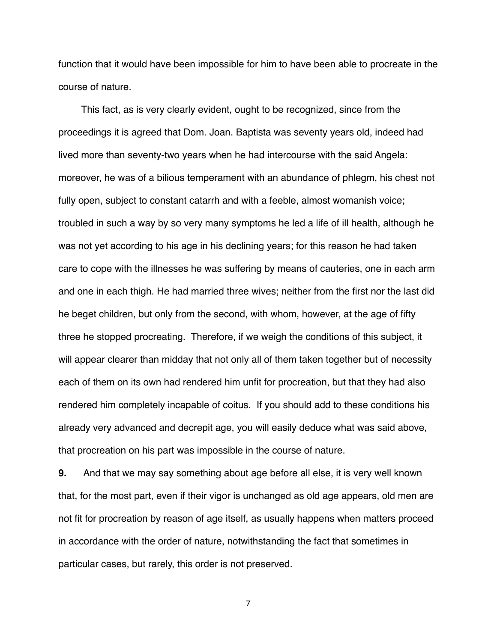function that it would have been impossible for him to have been able to procreate in the course of nature.

This fact, as is very clearly evident, ought to be recognized, since from the proceedings it is agreed that Dom. Joan. Baptista was seventy years old, indeed had lived more than seventy-two years when he had intercourse with the said Angela: moreover, he was of a bilious temperament with an abundance of phlegm, his chest not fully open, subject to constant catarrh and with a feeble, almost womanish voice; troubled in such a way by so very many symptoms he led a life of ill health, although he was not yet according to his age in his declining years; for this reason he had taken care to cope with the illnesses he was suffering by means of cauteries, one in each arm and one in each thigh. He had married three wives; neither from the first nor the last did he beget children, but only from the second, with whom, however, at the age of fifty three he stopped procreating. Therefore, if we weigh the conditions of this subject, it will appear clearer than midday that not only all of them taken together but of necessity each of them on its own had rendered him unfit for procreation, but that they had also rendered him completely incapable of coitus. If you should add to these conditions his already very advanced and decrepit age, you will easily deduce what was said above, that procreation on his part was impossible in the course of nature.

**9.** And that we may say something about age before all else, it is very well known that, for the most part, even if their vigor is unchanged as old age appears, old men are not fit for procreation by reason of age itself, as usually happens when matters proceed in accordance with the order of nature, notwithstanding the fact that sometimes in particular cases, but rarely, this order is not preserved.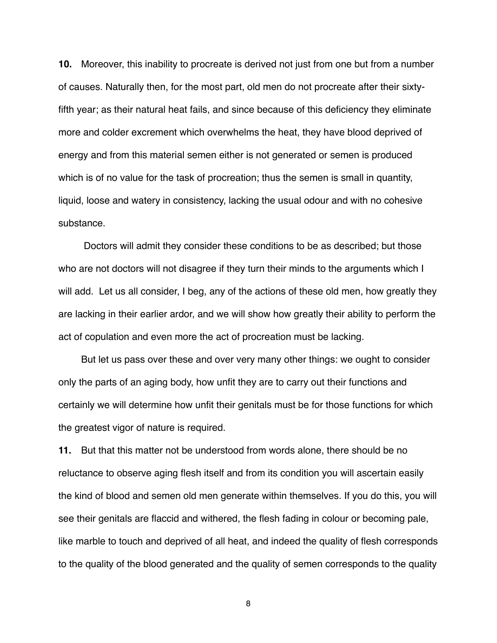**10.** Moreover, this inability to procreate is derived not just from one but from a number of causes. Naturally then, for the most part, old men do not procreate after their sixtyfifth year; as their natural heat fails, and since because of this deficiency they eliminate more and colder excrement which overwhelms the heat, they have blood deprived of energy and from this material semen either is not generated or semen is produced which is of no value for the task of procreation; thus the semen is small in quantity, liquid, loose and watery in consistency, lacking the usual odour and with no cohesive substance.

 Doctors will admit they consider these conditions to be as described; but those who are not doctors will not disagree if they turn their minds to the arguments which I will add. Let us all consider, I beg, any of the actions of these old men, how greatly they are lacking in their earlier ardor, and we will show how greatly their ability to perform the act of copulation and even more the act of procreation must be lacking.

But let us pass over these and over very many other things: we ought to consider only the parts of an aging body, how unfit they are to carry out their functions and certainly we will determine how unfit their genitals must be for those functions for which the greatest vigor of nature is required.

**11.** But that this matter not be understood from words alone, there should be no reluctance to observe aging flesh itself and from its condition you will ascertain easily the kind of blood and semen old men generate within themselves. If you do this, you will see their genitals are flaccid and withered, the flesh fading in colour or becoming pale, like marble to touch and deprived of all heat, and indeed the quality of flesh corresponds to the quality of the blood generated and the quality of semen corresponds to the quality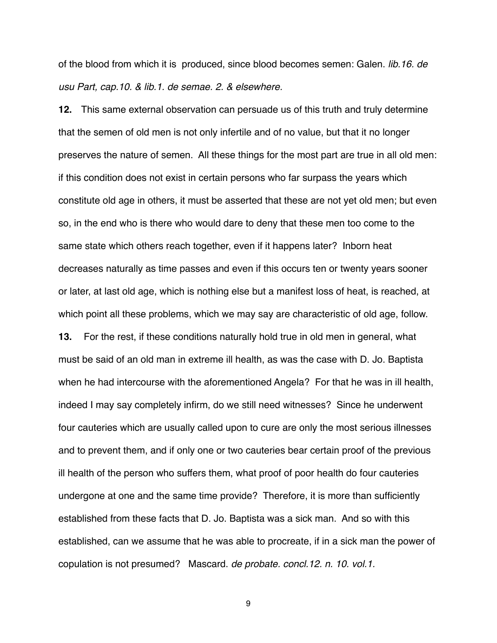of the blood from which it is produced, since blood becomes semen: Galen. *lib.16. de usu Part, cap.10. & lib.1. de semae. 2. & elsewhere.*

**12.** This same external observation can persuade us of this truth and truly determine that the semen of old men is not only infertile and of no value, but that it no longer preserves the nature of semen. All these things for the most part are true in all old men: if this condition does not exist in certain persons who far surpass the years which constitute old age in others, it must be asserted that these are not yet old men; but even so, in the end who is there who would dare to deny that these men too come to the same state which others reach together, even if it happens later? Inborn heat decreases naturally as time passes and even if this occurs ten or twenty years sooner or later, at last old age, which is nothing else but a manifest loss of heat, is reached, at which point all these problems, which we may say are characteristic of old age, follow. **13.** For the rest, if these conditions naturally hold true in old men in general, what must be said of an old man in extreme ill health, as was the case with D. Jo. Baptista when he had intercourse with the aforementioned Angela? For that he was in ill health, indeed I may say completely infirm, do we still need witnesses? Since he underwent four cauteries which are usually called upon to cure are only the most serious illnesses and to prevent them, and if only one or two cauteries bear certain proof of the previous ill health of the person who suffers them, what proof of poor health do four cauteries undergone at one and the same time provide? Therefore, it is more than sufficiently established from these facts that D. Jo. Baptista was a sick man. And so with this established, can we assume that he was able to procreate, if in a sick man the power of copulation is not presumed? Mascard. *de probate. concl.12. n. 10. vol.1.*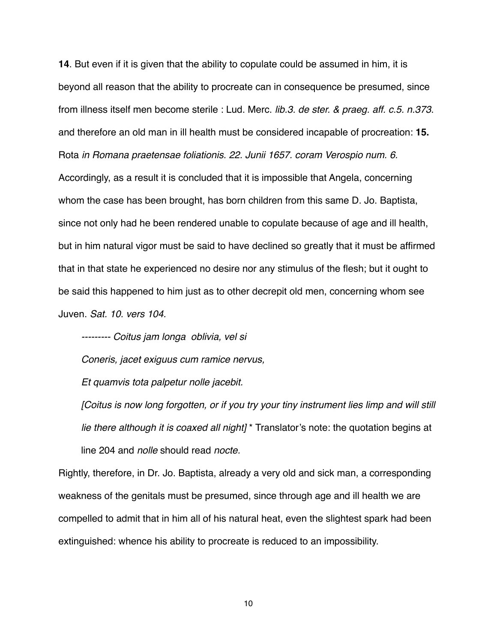**14**. But even if it is given that the ability to copulate could be assumed in him, it is beyond all reason that the ability to procreate can in consequence be presumed, since from illness itself men become sterile : Lud. Merc. *lib.3. de ster. & praeg. aff. c.5. n.373*. and therefore an old man in ill health must be considered incapable of procreation: **15.** Rota *in Romana praetensae foliationis. 22. Junii 1657. coram Verospio num. 6.* Accordingly, as a result it is concluded that it is impossible that Angela, concerning whom the case has been brought, has born children from this same D. Jo. Baptista, since not only had he been rendered unable to copulate because of age and ill health, but in him natural vigor must be said to have declined so greatly that it must be affirmed that in that state he experienced no desire nor any stimulus of the flesh; but it ought to be said this happened to him just as to other decrepit old men, concerning whom see Juven. *Sat. 10. vers 104.*

*--------- Coitus jam longa oblivia, vel si* 

*Coneris, jacet exiguus cum ramice nervus,*

*Et quamvis tota palpetur nolle jacebit.*

*[Coitus is now long forgotten, or if you try your tiny instrument lies limp and will still lie there although it is coaxed all night]* \* Translator's note: the quotation begins at line 204 and *nolle* should read *nocte.*

Rightly, therefore, in Dr. Jo. Baptista, already a very old and sick man, a corresponding weakness of the genitals must be presumed, since through age and ill health we are compelled to admit that in him all of his natural heat, even the slightest spark had been extinguished: whence his ability to procreate is reduced to an impossibility.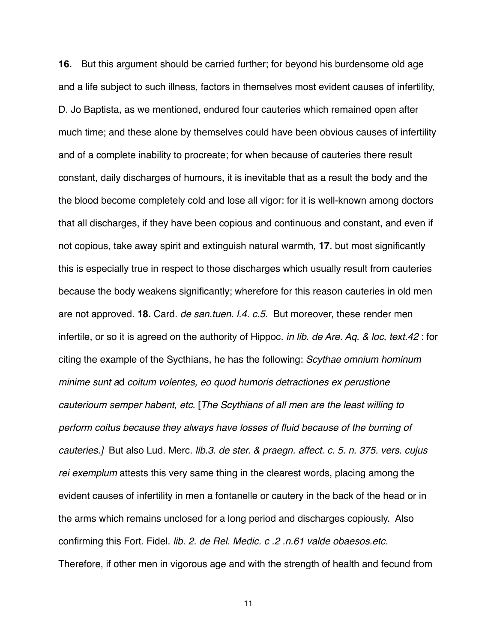**16.** But this argument should be carried further; for beyond his burdensome old age and a life subject to such illness, factors in themselves most evident causes of infertility, D. Jo Baptista, as we mentioned, endured four cauteries which remained open after much time; and these alone by themselves could have been obvious causes of infertility and of a complete inability to procreate; for when because of cauteries there result constant, daily discharges of humours, it is inevitable that as a result the body and the the blood become completely cold and lose all vigor: for it is well-known among doctors that all discharges, if they have been copious and continuous and constant, and even if not copious, take away spirit and extinguish natural warmth, **17**. but most significantly this is especially true in respect to those discharges which usually result from cauteries because the body weakens significantly; wherefore for this reason cauteries in old men are not approved. **18.** Card. *de san.tuen. l.4. c.5.* But moreover, these render men infertile, or so it is agreed on the authority of Hippoc. *in lib. de Are. Aq. & loc, text.42* : for citing the example of the Sycthians, he has the following: *Scythae omnium hominum minime sunt a*d *coitum volentes, eo quod humoris detractiones ex perustione cauterioum semper habent, etc*. [*The Scythians of all men are the least willing to perform coitus because they always have losses of fluid because of the burning of cauteries.]* But also Lud. Merc. *lib.3. de ster. & praegn. affect. c. 5. n. 375. vers. cujus rei exemplum* attests this very same thing in the clearest words, placing among the evident causes of infertility in men a fontanelle or cautery in the back of the head or in the arms which remains unclosed for a long period and discharges copiously. Also confirming this Fort. Fidel. *lib. 2. de Rel. Medic. c .2 .n.61 valde obaesos.etc.* Therefore, if other men in vigorous age and with the strength of health and fecund from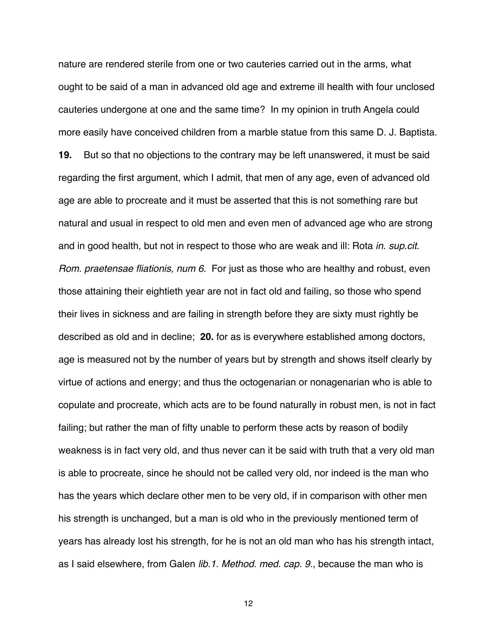nature are rendered sterile from one or two cauteries carried out in the arms, what ought to be said of a man in advanced old age and extreme ill health with four unclosed cauteries undergone at one and the same time? In my opinion in truth Angela could more easily have conceived children from a marble statue from this same D. J. Baptista. **19.** But so that no objections to the contrary may be left unanswered, it must be said regarding the first argument, which I admit, that men of any age, even of advanced old age are able to procreate and it must be asserted that this is not something rare but natural and usual in respect to old men and even men of advanced age who are strong and in good health, but not in respect to those who are weak and ill: Rota *in. sup.cit. Rom. praetensae fliationis, num 6.* For just as those who are healthy and robust, even those attaining their eightieth year are not in fact old and failing, so those who spend their lives in sickness and are failing in strength before they are sixty must rightly be described as old and in decline; **20.** for as is everywhere established among doctors, age is measured not by the number of years but by strength and shows itself clearly by virtue of actions and energy; and thus the octogenarian or nonagenarian who is able to copulate and procreate, which acts are to be found naturally in robust men, is not in fact failing; but rather the man of fifty unable to perform these acts by reason of bodily weakness is in fact very old, and thus never can it be said with truth that a very old man is able to procreate, since he should not be called very old, nor indeed is the man who has the years which declare other men to be very old, if in comparison with other men his strength is unchanged, but a man is old who in the previously mentioned term of years has already lost his strength, for he is not an old man who has his strength intact, as I said elsewhere, from Galen *lib.1. Method. med. cap. 9.*, because the man who is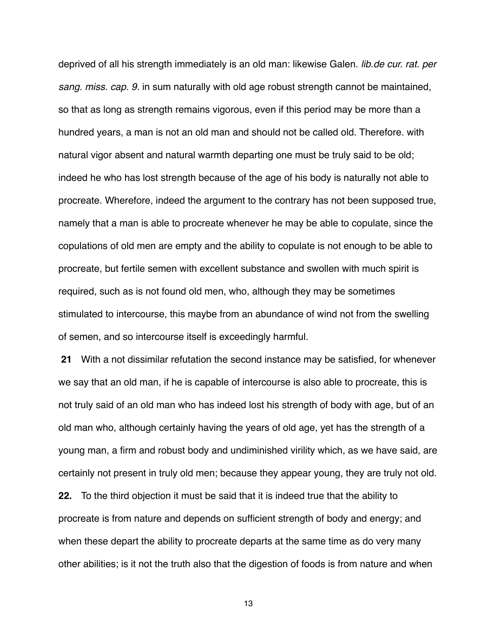deprived of all his strength immediately is an old man: likewise Galen. *lib.de cur. rat. per sang. miss. cap. 9.* in sum naturally with old age robust strength cannot be maintained, so that as long as strength remains vigorous, even if this period may be more than a hundred years, a man is not an old man and should not be called old. Therefore. with natural vigor absent and natural warmth departing one must be truly said to be old; indeed he who has lost strength because of the age of his body is naturally not able to procreate. Wherefore, indeed the argument to the contrary has not been supposed true, namely that a man is able to procreate whenever he may be able to copulate, since the copulations of old men are empty and the ability to copulate is not enough to be able to procreate, but fertile semen with excellent substance and swollen with much spirit is required, such as is not found old men, who, although they may be sometimes stimulated to intercourse, this maybe from an abundance of wind not from the swelling of semen, and so intercourse itself is exceedingly harmful.

 **21** With a not dissimilar refutation the second instance may be satisfied, for whenever we say that an old man, if he is capable of intercourse is also able to procreate, this is not truly said of an old man who has indeed lost his strength of body with age, but of an old man who, although certainly having the years of old age, yet has the strength of a young man, a firm and robust body and undiminished virility which, as we have said, are certainly not present in truly old men; because they appear young, they are truly not old. **22.** To the third objection it must be said that it is indeed true that the ability to procreate is from nature and depends on sufficient strength of body and energy; and when these depart the ability to procreate departs at the same time as do very many other abilities; is it not the truth also that the digestion of foods is from nature and when